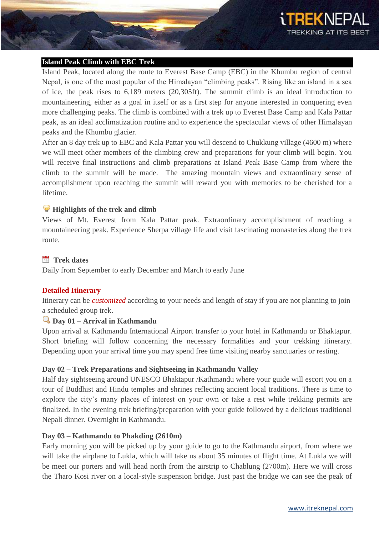

#### **Island Peak Climb with EBC Trek**

Island Peak, located along the route to Everest Base Camp (EBC) in the Khumbu region of central Nepal, is one of the most popular of the Himalayan "climbing peaks". Rising like an island in a sea of ice, the peak rises to 6,189 meters (20,305ft). The summit climb is an ideal introduction to mountaineering, either as a goal in itself or as a first step for anyone interested in conquering even more challenging peaks. The climb is combined with a trek up to Everest Base Camp and Kala Pattar peak, as an ideal acclimatization routine and to experience the spectacular views of other Himalayan peaks and the Khumbu glacier.

After an 8 day trek up to EBC and Kala Pattar you will descend to Chukkung village (4600 m) where we will meet other members of the climbing crew and preparations for your climb will begin. You will receive final instructions and climb preparations at Island Peak Base Camp from where the climb to the summit will be made. The amazing mountain views and extraordinary sense of accomplishment upon reaching the summit will reward you with memories to be cherished for a lifetime.

#### **Highlights of the trek and climb**

Views of Mt. Everest from Kala Pattar peak. Extraordinary accomplishment of reaching a mountaineering peak. Experience Sherpa village life and visit fascinating monasteries along the trek route.

# **Trek dates**

Daily from September to early December and March to early June

#### **Detailed Itinerary**

Itinerary can be *[customized](http://itreknepal.com/customized-trekking.php)* according to your needs and length of stay if you are not planning to join a scheduled group trek.

### **Day 01 – Arrival in Kathmandu**

Upon arrival at Kathmandu International Airport transfer to your hotel in Kathmandu or Bhaktapur. Short briefing will follow concerning the necessary formalities and your trekking itinerary. Depending upon your arrival time you may spend free time visiting nearby sanctuaries or resting.

#### **Day 02 – Trek Preparations and Sightseeing in Kathmandu Valley**

Half day sightseeing around UNESCO Bhaktapur /Kathmandu where your guide will escort you on a tour of Buddhist and Hindu temples and shrines reflecting ancient local traditions. There is time to explore the city's many places of interest on your own or take a rest while trekking permits are finalized. In the evening trek briefing/preparation with your guide followed by a delicious traditional Nepali dinner. Overnight in Kathmandu.

#### **Day 03 – Kathmandu to Phakding (2610m)**

Early morning you will be picked up by your guide to go to the Kathmandu airport, from where we will take the airplane to Lukla, which will take us about 35 minutes of flight time. At Lukla we will be meet our porters and will head north from the airstrip to Chablung (2700m). Here we will cross the Tharo Kosi river on a local-style suspension bridge. Just past the bridge we can see the peak of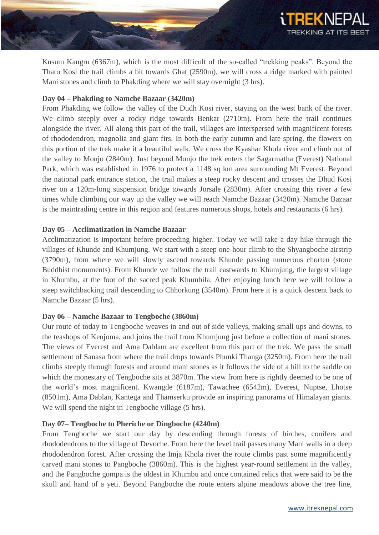

Kusum Kangru (6367m), which is the most difficult of the so-called "trekking peaks". Beyond the Tharo Kosi the trail climbs a bit towards Ghat (2590m), we will cross a ridge marked with painted Mani stones and climb to Phakding where we will stay overnight (3 hrs).

## **Day 04 – Phakding to Namche Bazaar (3420m)**

From Phakding we follow the valley of the Dudh Kosi river, staying on the west bank of the river. We climb steeply over a rocky ridge towards Benkar (2710m). From here the trail continues alongside the river. All along this part of the trail, villages are interspersed with magnificent forests of rhododendron, magnolia and giant firs. In both the early autumn and late spring, the flowers on this portion of the trek make it a beautiful walk. We cross the Kyashar Khola river and climb out of the valley to Monjo (2840m). Just beyond Monjo the trek enters the Sagarmatha (Everest) National Park, which was established in 1976 to protect a 1148 sq km area surrounding Mt Everest. Beyond the national park entrance station, the trail makes a steep rocky descent and crosses the Dhud Kosi river on a 120m-long suspension bridge towards Jorsale (2830m). After crossing this river a few times while climbing our way up the valley we will reach Namche Bazaar (3420m). Namche Bazaar is the maintrading centre in this region and features numerous shops, hotels and restaurants (6 hrs).

## **Day 05 – Acclimatization in Namche Bazaar**

Acclimatization is important before proceeding higher. Today we will take a day hike through the villages of Khunde and Khumjung. We start with a steep one-hour climb to the Shyangboche airstrip (3790m), from where we will slowly ascend towards Khunde passing numerous chorten (stone Buddhist monuments). From Khunde we follow the trail eastwards to Khumjung, the largest village in Khumbu, at the foot of the sacred peak Khumbila. After enjoying lunch here we will follow a steep switchbacking trail descending to Chhorkung (3540m). From here it is a quick descent back to Namche Bazaar (5 hrs).

## **Day 06 – Namche Bazaar to Tengboche (3860m)**

Our route of today to Tengboche weaves in and out of side valleys, making small ups and downs, to the teashops of Kenjoma, and joins the trail from Khumjung just before a collection of mani stones. The views of Everest and Ama Dablam are excellent from this part of the trek. We pass the small settlement of Sanasa from where the trail drops towards Phunki Thanga (3250m). From here the trail climbs steeply through forests and around mani stones as it follows the side of a hill to the saddle on which the monestary of Tengboche sits at 3870m. The view from here is rightly deemed to be one of the world's most magnificent. Kwangde (6187m), Tawachee (6542m), Everest, Nuptse, Lhotse (8501m), Ama Dablan, Kantega and Thamserku provide an inspiring panorama of Himalayan giants. We will spend the night in Tengboche village (5 hrs).

### **Day 07– Tengboche to Pheriche or Dingboche (4240m)**

From Tengboche we start our day by descending through forests of birches, conifers and rhododendrons to the village of Devoche. From here the level trail passes many Mani walls in a deep rhododendron forest. After crossing the Imja Khola river the route climbs past some magnificently carved mani stones to Pangboche (3860m). This is the highest year-round settlement in the valley, and the Pangboche gompa is the oldest in Khumbu and once contained relics that were said to be the skull and hand of a yeti. Beyond Pangboche the route enters alpine meadows above the tree line,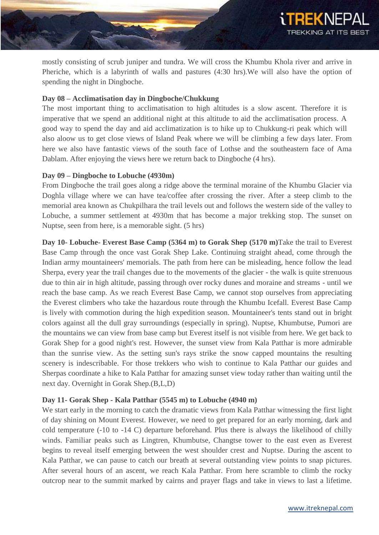

mostly consisting of scrub juniper and tundra. We will cross the Khumbu Khola river and arrive in Pheriche, which is a labyrinth of walls and pastures (4:30 hrs).We will also have the option of spending the night in Dingboche.

### **Day 08 – Acclimatisation day in Dingboche/Chukkung**

The most important thing to acclimatisation to high altitudes is a slow ascent. Therefore it is imperative that we spend an additional night at this altitude to aid the acclimatisation process. A good way to spend the day and aid acclimatization is to hike up to Chukkung-ri peak which will also aloow us to get close views of Island Peak where we will be climbing a few days later. From here we also have fantastic views of the south face of Lothse and the southeastern face of Ama Dablam. After enjoying the views here we return back to Dingboche (4 hrs).

## **Day 09 – Dingboche to Lobuche (4930m)**

From Dingboche the trail goes along a ridge above the terminal moraine of the Khumbu Glacier via Doghla village where we can have tea/coffee after crossing the river. After a steep climb to the memorial area known as Chukpilhara the trail levels out and follows the western side of the valley to Lobuche, a summer settlement at 4930m that has become a major trekking stop. The sunset on Nuptse, seen from here, is a memorable sight. (5 hrs)

**Day 10- Lobuche- Everest Base Camp (5364 m) to Gorak Shep (5170 m)**Take the trail to Everest Base Camp through the once vast Gorak Shep Lake. Continuing straight ahead, come through the Indian army mountaineers' memorials. The path from here can be misleading, hence follow the lead Sherpa, every year the trail changes due to the movements of the glacier - the walk is quite strenuous due to thin air in high altitude, passing through over rocky dunes and moraine and streams - until we reach the base camp. As we reach Everest Base Camp, we cannot stop ourselves from appreciating the Everest climbers who take the hazardous route through the Khumbu Icefall. Everest Base Camp is lively with commotion during the high expedition season. Mountaineer's tents stand out in bright colors against all the dull gray surroundings (especially in spring). Nuptse, Khumbutse, Pumori are the mountains we can view from base camp but Everest itself is not visible from here. We get back to Gorak Shep for a good night's rest. However, the sunset view from Kala Patthar is more admirable than the sunrise view. As the setting sun's rays strike the snow capped mountains the resulting scenery is indescribable. For those trekkers who wish to continue to Kala Patthar our guides and Sherpas coordinate a hike to Kala Patthar for amazing sunset view today rather than waiting until the next day. Overnight in Gorak Shep.(B,L,D)

## **Day 11- Gorak Shep - Kala Patthar (5545 m) to Lobuche (4940 m)**

We start early in the morning to catch the dramatic views from Kala Patthar witnessing the first light of day shining on Mount Everest. However, we need to get prepared for an early morning, dark and cold temperature (-10 to -14 C) departure beforehand. Plus there is always the likelihood of chilly winds. Familiar peaks such as Lingtren, Khumbutse, Changtse tower to the east even as Everest begins to reveal itself emerging between the west shoulder crest and Nuptse. During the ascent to Kala Patthar, we can pause to catch our breath at several outstanding view points to snap pictures. After several hours of an ascent, we reach Kala Patthar. From here scramble to climb the rocky outcrop near to the summit marked by cairns and prayer flags and take in views to last a lifetime.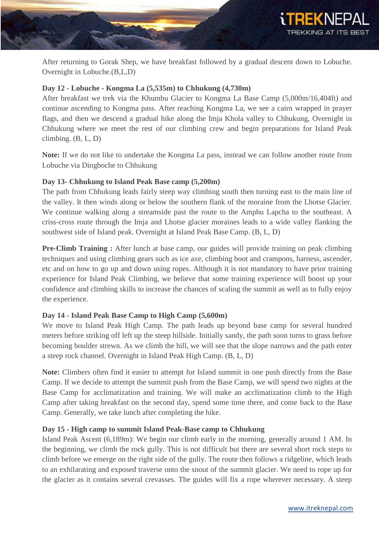

After returning to Gorak Shep, we have breakfast followed by a gradual descent down to Lobuche. Overnight in Lobuche.(B,L,D)

## **Day 12 - Lobuche - Kongma La (5,535m) to Chhukung (4,730m)**

After breakfast we trek via the Khumbu Glacier to Kongma La Base Camp (5,000m/16,404ft) and continue ascending to Kongma pass. After reaching Kongma La, we see a cairn wrapped in prayer flags, and then we descend a gradual hike along the Imja Khola valley to Chhukung, Overnight in Chhukung where we meet the rest of our climbing crew and begin preparations for Island Peak climbing. (B, L, D)

**Note:** If we do not like to undertake the Kongma La pass, instead we can follow another route from Lobuche via Dingboche to Chhukung

## **Day 13- Chhukung to Island Peak Base camp (5,200m)**

The path from Chhukung leads fairly steep way climbing south then turning east to the main line of the valley. It then winds along or below the southern flank of the moraine from the Lhotse Glacier. We continue walking along a streamside past the route to the Amphu Lapcha to the southeast. A criss-cross route through the Imja and Lhotse glacier moraines leads to a wide valley flanking the southwest side of Island peak. Overnight at Island Peak Base Camp. (B, L, D)

**Pre-Climb Training :** After lunch at base camp, our guides will provide training on peak climbing techniques and using climbing gears such as ice axe, climbing boot and crampons, harness, ascender, etc and on how to go up and down using ropes. Although it is not mandatory to have prior training experience for Island Peak Climbing, we believe that some training experience will boost up your confidence and climbing skills to increase the chances of scaling the summit as well as to fully enjoy the experience.

## **Day 14 - Island Peak Base Camp to High Camp (5,600m)**

We move to Island Peak High Camp. The path leads up beyond base camp for several hundred meters before striking off left up the steep hillside. Initially sandy, the path soon turns to grass before becoming boulder strewn. As we climb the hill, we will see that the slope narrows and the path enter a steep rock channel. Overnight in Island Peak High Camp. (B, L, D)

**Note:** Climbers often find it easier to attempt for Island summit in one push directly from the Base Camp. If we decide to attempt the summit push from the Base Camp, we will spend two nights at the Base Camp for acclimatization and training. We will make an acclimatization climb to the High Camp after taking breakfast on the second day, spend some time there, and come back to the Base Camp. Generally, we take lunch after completing the hike.

## **Day 15 - High camp to summit Island Peak-Base camp to Chhukung**

Island Peak Ascent (6,189m): We begin our climb early in the morning, generally around 1 AM. In the beginning, we climb the rock gully. This is not difficult but there are several short rock steps to climb before we emerge on the right side of the gully. The route then follows a ridgeline, which leads to an exhilarating and exposed traverse onto the snout of the summit glacier. We need to rope up for the glacier as it contains several crevasses. The guides will fix a rope wherever necessary. A steep